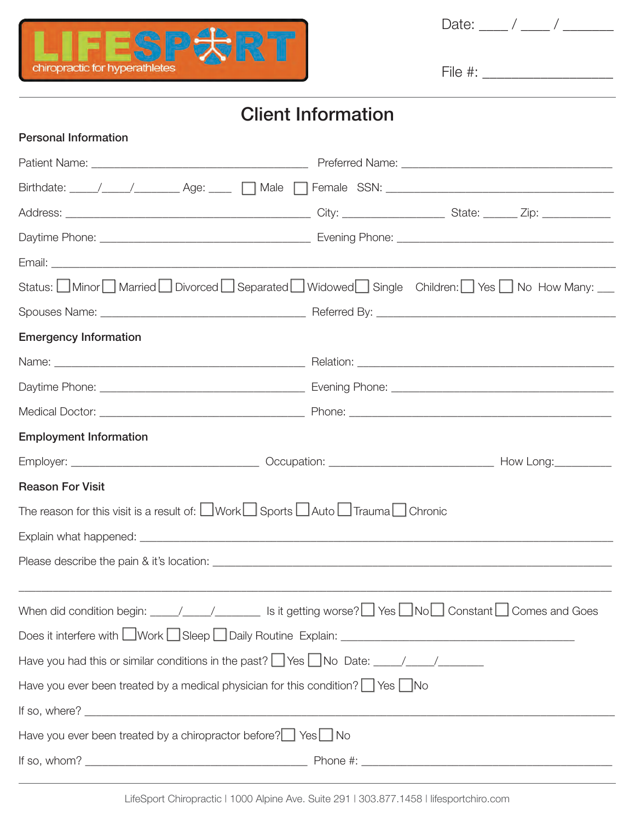

Date: \_\_\_\_ / \_\_\_\_ / \_\_\_\_\_\_\_

File #: \_\_\_\_\_\_\_\_\_\_\_\_\_\_\_\_\_\_

## Client Information

| <b>Personal Information</b>                                                                                                                                                   |                                                                                    |
|-------------------------------------------------------------------------------------------------------------------------------------------------------------------------------|------------------------------------------------------------------------------------|
|                                                                                                                                                                               |                                                                                    |
|                                                                                                                                                                               |                                                                                    |
|                                                                                                                                                                               |                                                                                    |
|                                                                                                                                                                               |                                                                                    |
|                                                                                                                                                                               |                                                                                    |
|                                                                                                                                                                               | Status: Minor Married Divorced Separated Widowed Single Children: Yes No How Many: |
|                                                                                                                                                                               |                                                                                    |
| <b>Emergency Information</b>                                                                                                                                                  |                                                                                    |
|                                                                                                                                                                               |                                                                                    |
|                                                                                                                                                                               |                                                                                    |
|                                                                                                                                                                               |                                                                                    |
| <b>Employment Information</b>                                                                                                                                                 |                                                                                    |
|                                                                                                                                                                               |                                                                                    |
| <b>Reason For Visit</b>                                                                                                                                                       |                                                                                    |
| The reason for this visit is a result of: $\Box$ Work $\Box$ Sports $\Box$ Auto $\Box$ Trauma $\Box$ Chronic                                                                  |                                                                                    |
|                                                                                                                                                                               |                                                                                    |
|                                                                                                                                                                               |                                                                                    |
|                                                                                                                                                                               |                                                                                    |
| When did condition begin: $\_\_\_\_\_\_\_\_\_\_\_\_\_\$ Is it getting worse? $\_\_\_\_\_\_\_\_\_\_\$ No $\_\_\_\_\_\_\_\_\_\_\$ Constant $\_\_\_\_\_\_\_\_\_\$ Comes and Goes |                                                                                    |
|                                                                                                                                                                               |                                                                                    |
| Have you had this or similar conditions in the past? Thes TNo Date: THASH MESS THE MESS HAVE                                                                                  |                                                                                    |
| Have you ever been treated by a medical physician for this condition? $\Box$ Yes $\Box$ No                                                                                    |                                                                                    |
|                                                                                                                                                                               |                                                                                    |
| Have you ever been treated by a chiropractor before? $\Box$ Yes $\Box$ No                                                                                                     |                                                                                    |
|                                                                                                                                                                               |                                                                                    |
|                                                                                                                                                                               |                                                                                    |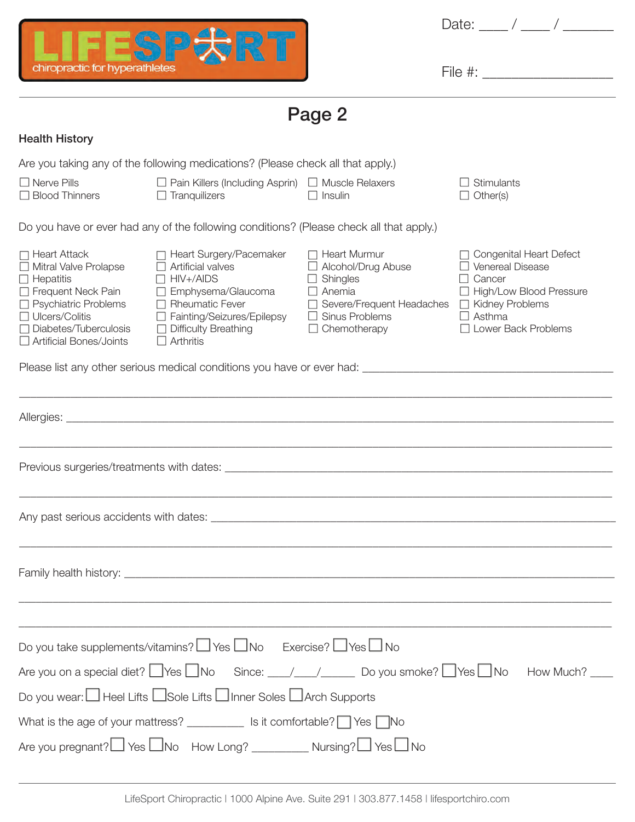

Date: \_\_\_\_ / \_\_\_\_ / \_\_\_\_\_\_\_

File #: \_\_\_\_\_\_\_\_\_\_\_\_\_\_\_\_\_\_

Page 2

## Health History

|                                                                                                                                                                                                                         | Are you taking any of the following medications? (Please check all that apply.)                                                                                                                                                      |                                                                                                                                                                                                 |                                                                                                                                                                         |  |  |  |
|-------------------------------------------------------------------------------------------------------------------------------------------------------------------------------------------------------------------------|--------------------------------------------------------------------------------------------------------------------------------------------------------------------------------------------------------------------------------------|-------------------------------------------------------------------------------------------------------------------------------------------------------------------------------------------------|-------------------------------------------------------------------------------------------------------------------------------------------------------------------------|--|--|--|
| $\Box$ Nerve Pills<br>$\Box$ Blood Thinners                                                                                                                                                                             | $\Box$ Pain Killers (Including Asprin) $\Box$ Muscle Relaxers<br>$\Box$ Tranquilizers                                                                                                                                                | $\Box$ Insulin                                                                                                                                                                                  | $\Box$ Stimulants<br>$\Box$ Other(s)                                                                                                                                    |  |  |  |
|                                                                                                                                                                                                                         | Do you have or ever had any of the following conditions? (Please check all that apply.)                                                                                                                                              |                                                                                                                                                                                                 |                                                                                                                                                                         |  |  |  |
| $\Box$ Heart Attack<br>$\Box$ Mitral Valve Prolapse<br>$\Box$ Hepatitis<br>Frequent Neck Pain<br>$\Box$ Psychiatric Problems<br>$\Box$ Ulcers/Colitis<br>$\Box$ Diabetes/Tuberculosis<br>$\Box$ Artificial Bones/Joints | □ Heart Surgery/Pacemaker<br>$\Box$ Artificial valves<br>$\Box$ HIV+/AIDS<br>$\Box$ Emphysema/Glaucoma<br>$\Box$ Rheumatic Fever<br>□ Fainting/Seizures/Epilepsy<br>$\Box$ Difficulty Breathing<br>$\Box$ Arthritis                  | $\Box$ Heart Murmur<br>$\Box$ Alcohol/Drug Abuse<br>$\Box$ Shingles<br>$\Box$ Anemia<br>$\Box$ Severe/Frequent Headaches $\Box$ Kidney Problems<br>$\Box$ Sinus Problems<br>$\Box$ Chemotherapy | □ Congenital Heart Defect<br>$\Box$ Venereal Disease<br>$\Box$ Cancer<br>□ High/Low Blood Pressure<br>$\Box$ Asthma<br>$\Box$ Lower Back Problems                       |  |  |  |
|                                                                                                                                                                                                                         |                                                                                                                                                                                                                                      |                                                                                                                                                                                                 |                                                                                                                                                                         |  |  |  |
|                                                                                                                                                                                                                         |                                                                                                                                                                                                                                      |                                                                                                                                                                                                 |                                                                                                                                                                         |  |  |  |
|                                                                                                                                                                                                                         |                                                                                                                                                                                                                                      |                                                                                                                                                                                                 |                                                                                                                                                                         |  |  |  |
|                                                                                                                                                                                                                         |                                                                                                                                                                                                                                      |                                                                                                                                                                                                 |                                                                                                                                                                         |  |  |  |
|                                                                                                                                                                                                                         | Family health history: <u>the community of the community of the community of the community of the community of the community of the community of the community of the community of the community of the community of the communi</u> |                                                                                                                                                                                                 |                                                                                                                                                                         |  |  |  |
|                                                                                                                                                                                                                         | Do you take supplements/vitamins? $\Box$ Yes $\Box$ No Exercise? $\Box$ Yes $\Box$ No                                                                                                                                                |                                                                                                                                                                                                 |                                                                                                                                                                         |  |  |  |
|                                                                                                                                                                                                                         |                                                                                                                                                                                                                                      |                                                                                                                                                                                                 | Are you on a special diet? $\Box$ Yes $\Box$ No Since: $\_\_\_\_\_\_\_\_\_\_\_\_\_\_\_\_\_\_$ Do you smoke? $\Box$ Yes $\Box$ No How Much? $\_\_\_\_\_\_\_\_\_\_\_\_\_$ |  |  |  |
|                                                                                                                                                                                                                         | Do you wear: □ Heel Lifts □ Sole Lifts □ Inner Soles □ Arch Supports                                                                                                                                                                 |                                                                                                                                                                                                 |                                                                                                                                                                         |  |  |  |
| What is the age of your mattress? ____________ Is it comfortable? Ves No                                                                                                                                                |                                                                                                                                                                                                                                      |                                                                                                                                                                                                 |                                                                                                                                                                         |  |  |  |
| Are you pregnant? $\Box$ Yes $\Box$ No How Long? _____________ Nursing? $\Box$ Yes $\Box$ No                                                                                                                            |                                                                                                                                                                                                                                      |                                                                                                                                                                                                 |                                                                                                                                                                         |  |  |  |